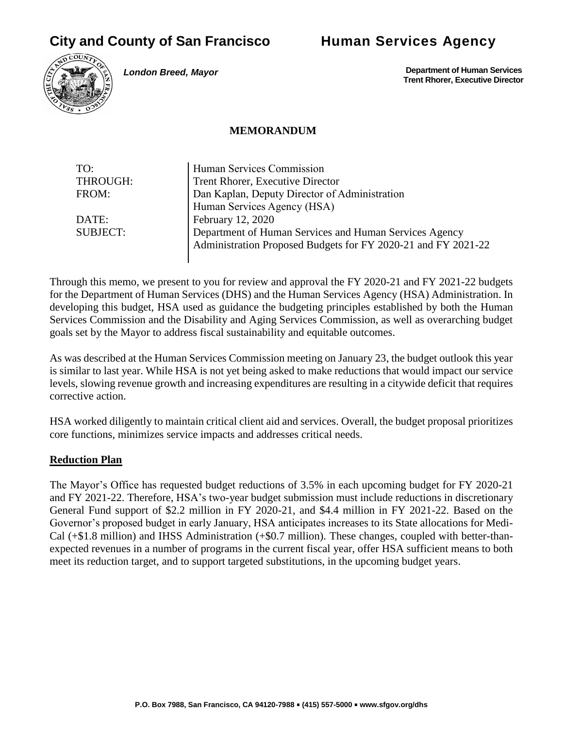# **City and County of San Francisco Human Services Agency**



*London Breed, Mayor*

 **Department of Human Services Trent Rhorer, Executive Director**

#### **MEMORANDUM**

| TO:             | Human Services Commission                                     |
|-----------------|---------------------------------------------------------------|
| THROUGH:        | Trent Rhorer, Executive Director                              |
| FROM:           | Dan Kaplan, Deputy Director of Administration                 |
|                 | Human Services Agency (HSA)                                   |
| DATE:           | February 12, 2020                                             |
| <b>SUBJECT:</b> | Department of Human Services and Human Services Agency        |
|                 | Administration Proposed Budgets for FY 2020-21 and FY 2021-22 |
|                 |                                                               |

Through this memo, we present to you for review and approval the FY 2020-21 and FY 2021-22 budgets for the Department of Human Services (DHS) and the Human Services Agency (HSA) Administration. In developing this budget, HSA used as guidance the budgeting principles established by both the Human Services Commission and the Disability and Aging Services Commission, as well as overarching budget goals set by the Mayor to address fiscal sustainability and equitable outcomes.

As was described at the Human Services Commission meeting on January 23, the budget outlook this year is similar to last year. While HSA is not yet being asked to make reductions that would impact our service levels, slowing revenue growth and increasing expenditures are resulting in a citywide deficit that requires corrective action.

HSA worked diligently to maintain critical client aid and services. Overall, the budget proposal prioritizes core functions, minimizes service impacts and addresses critical needs.

#### **Reduction Plan**

The Mayor's Office has requested budget reductions of 3.5% in each upcoming budget for FY 2020-21 and FY 2021-22. Therefore, HSA's two-year budget submission must include reductions in discretionary General Fund support of \$2.2 million in FY 2020-21, and \$4.4 million in FY 2021-22. Based on the Governor's proposed budget in early January, HSA anticipates increases to its State allocations for Medi-Cal (+\$1.8 million) and IHSS Administration (+\$0.7 million). These changes, coupled with better-thanexpected revenues in a number of programs in the current fiscal year, offer HSA sufficient means to both meet its reduction target, and to support targeted substitutions, in the upcoming budget years.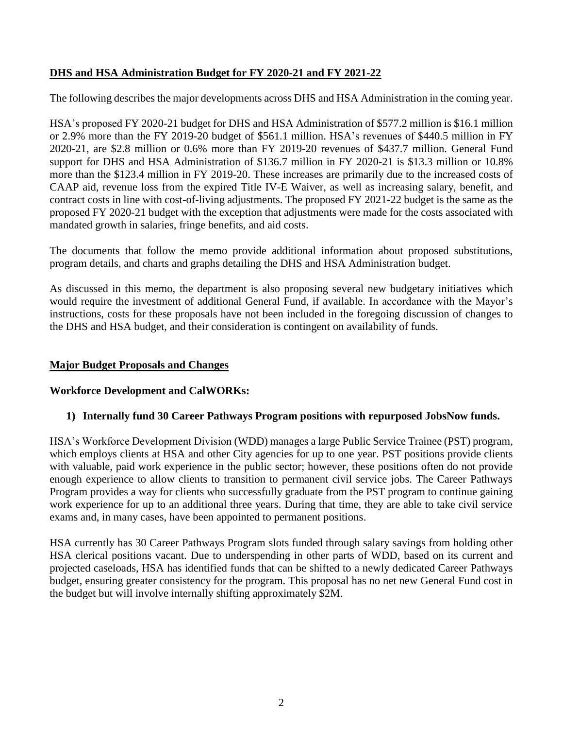# **DHS and HSA Administration Budget for FY 2020-21 and FY 2021-22**

The following describes the major developments across DHS and HSA Administration in the coming year.

HSA's proposed FY 2020-21 budget for DHS and HSA Administration of \$577.2 million is \$16.1 million or 2.9% more than the FY 2019-20 budget of \$561.1 million. HSA's revenues of \$440.5 million in FY 2020-21, are \$2.8 million or 0.6% more than FY 2019-20 revenues of \$437.7 million. General Fund support for DHS and HSA Administration of \$136.7 million in FY 2020-21 is \$13.3 million or 10.8% more than the \$123.4 million in FY 2019-20. These increases are primarily due to the increased costs of CAAP aid, revenue loss from the expired Title IV-E Waiver, as well as increasing salary, benefit, and contract costs in line with cost-of-living adjustments. The proposed FY 2021-22 budget is the same as the proposed FY 2020-21 budget with the exception that adjustments were made for the costs associated with mandated growth in salaries, fringe benefits, and aid costs.

The documents that follow the memo provide additional information about proposed substitutions, program details, and charts and graphs detailing the DHS and HSA Administration budget.

As discussed in this memo, the department is also proposing several new budgetary initiatives which would require the investment of additional General Fund, if available. In accordance with the Mayor's instructions, costs for these proposals have not been included in the foregoing discussion of changes to the DHS and HSA budget, and their consideration is contingent on availability of funds.

#### **Major Budget Proposals and Changes**

### **Workforce Development and CalWORKs:**

#### **1) Internally fund 30 Career Pathways Program positions with repurposed JobsNow funds.**

HSA's Workforce Development Division (WDD) manages a large Public Service Trainee (PST) program, which employs clients at HSA and other City agencies for up to one year. PST positions provide clients with valuable, paid work experience in the public sector; however, these positions often do not provide enough experience to allow clients to transition to permanent civil service jobs. The Career Pathways Program provides a way for clients who successfully graduate from the PST program to continue gaining work experience for up to an additional three years. During that time, they are able to take civil service exams and, in many cases, have been appointed to permanent positions.

HSA currently has 30 Career Pathways Program slots funded through salary savings from holding other HSA clerical positions vacant. Due to underspending in other parts of WDD, based on its current and projected caseloads, HSA has identified funds that can be shifted to a newly dedicated Career Pathways budget, ensuring greater consistency for the program. This proposal has no net new General Fund cost in the budget but will involve internally shifting approximately \$2M.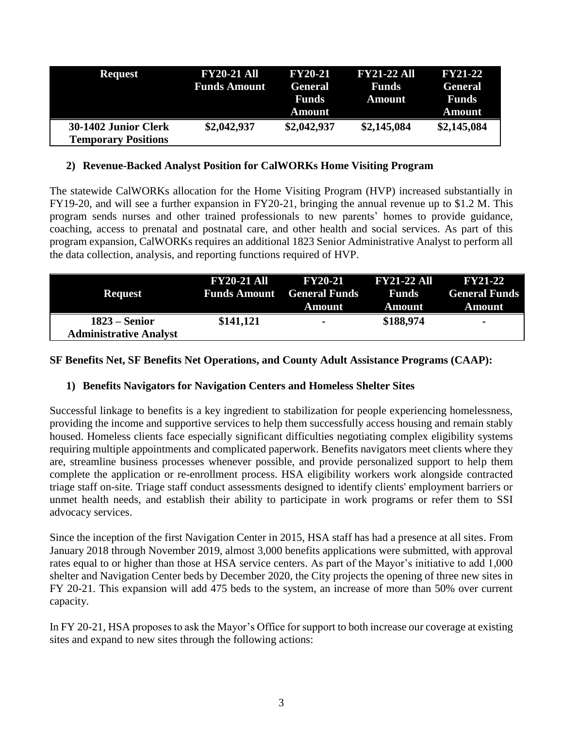| <b>Request</b>             | <b>FY20-21 All</b>  | <b>FY20-21</b> | <b>FY21-22 All</b> | <b>FY21-22</b> |
|----------------------------|---------------------|----------------|--------------------|----------------|
|                            | <b>Funds Amount</b> | <b>General</b> | <b>Funds</b>       | <b>General</b> |
|                            |                     | Funds          | <b>Amount</b>      | Funds          |
|                            |                     | <b>Amount</b>  |                    | <b>Amount</b>  |
| 30-1402 Junior Clerk       | \$2,042,937         | \$2,042,937    | \$2,145,084        | \$2,145,084    |
| <b>Temporary Positions</b> |                     |                |                    |                |

#### **2) Revenue-Backed Analyst Position for CalWORKs Home Visiting Program**

The statewide CalWORKs allocation for the Home Visiting Program (HVP) increased substantially in FY19-20, and will see a further expansion in FY20-21, bringing the annual revenue up to \$1.2 M. This program sends nurses and other trained professionals to new parents' homes to provide guidance, coaching, access to prenatal and postnatal care, and other health and social services. As part of this program expansion, CalWORKs requires an additional 1823 Senior Administrative Analyst to perform all the data collection, analysis, and reporting functions required of HVP.

| <b>Request</b>                                   | FY20-21 All | <b>FY20-21</b> FY21-22 All<br><b>Funds Amount</b> General Funds<br>Amount | <b>Funds</b><br>Amount | <b>FY21-22</b><br><b>General Funds</b><br>Amount |
|--------------------------------------------------|-------------|---------------------------------------------------------------------------|------------------------|--------------------------------------------------|
| $1823 -$ Senior<br><b>Administrative Analyst</b> | \$141,121   | $\blacksquare$                                                            | \$188,974              | $\blacksquare$                                   |

# **SF Benefits Net, SF Benefits Net Operations, and County Adult Assistance Programs (CAAP):**

### **1) Benefits Navigators for Navigation Centers and Homeless Shelter Sites**

Successful linkage to benefits is a key ingredient to stabilization for people experiencing homelessness, providing the income and supportive services to help them successfully access housing and remain stably housed. Homeless clients face especially significant difficulties negotiating complex eligibility systems requiring multiple appointments and complicated paperwork. Benefits navigators meet clients where they are, streamline business processes whenever possible, and provide personalized support to help them complete the application or re-enrollment process. HSA eligibility workers work alongside contracted triage staff on-site. Triage staff conduct assessments designed to identify clients' employment barriers or unmet health needs, and establish their ability to participate in work programs or refer them to SSI advocacy services.

Since the inception of the first Navigation Center in 2015, HSA staff has had a presence at all sites. From January 2018 through November 2019, almost 3,000 benefits applications were submitted, with approval rates equal to or higher than those at HSA service centers. As part of the Mayor's initiative to add 1,000 shelter and Navigation Center beds by December 2020, the City projects the opening of three new sites in FY 20-21. This expansion will add 475 beds to the system, an increase of more than 50% over current capacity.

In FY 20-21, HSA proposes to ask the Mayor's Office for support to both increase our coverage at existing sites and expand to new sites through the following actions: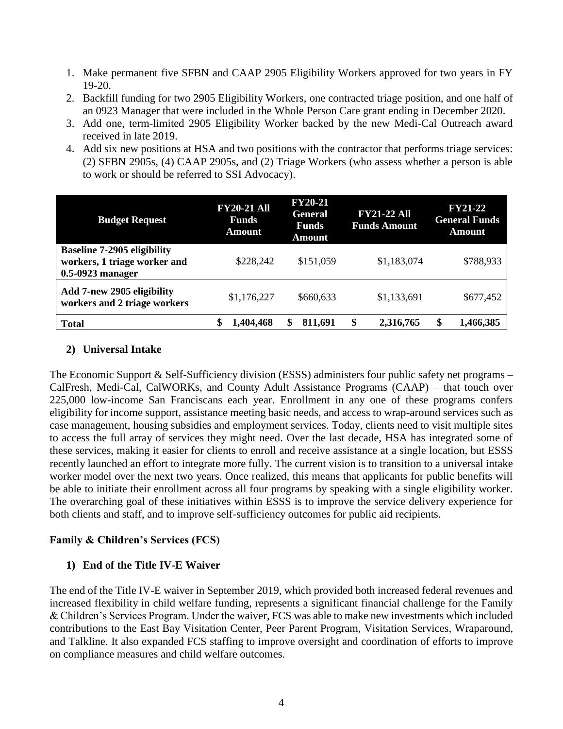- 1. Make permanent five SFBN and CAAP 2905 Eligibility Workers approved for two years in FY 19-20.
- 2. Backfill funding for two 2905 Eligibility Workers, one contracted triage position, and one half of an 0923 Manager that were included in the Whole Person Care grant ending in December 2020.
- 3. Add one, term-limited 2905 Eligibility Worker backed by the new Medi-Cal Outreach award received in late 2019.
- 4. Add six new positions at HSA and two positions with the contractor that performs triage services: (2) SFBN 2905s, (4) CAAP 2905s, and (2) Triage Workers (who assess whether a person is able to work or should be referred to SSI Advocacy).

| <b>Budget Request</b>                                                                  | <b>FY20-21 All</b><br><b>Funds</b><br>Amount | <b>FY20-21</b><br><b>General</b><br><b>Funds</b><br><b>Amount</b> | <b>FY21-22 All</b><br><b>Funds Amount</b> | <b>FY21-22</b><br><b>General Funds</b><br>Amount |
|----------------------------------------------------------------------------------------|----------------------------------------------|-------------------------------------------------------------------|-------------------------------------------|--------------------------------------------------|
| <b>Baseline 7-2905 eligibility</b><br>workers, 1 triage worker and<br>0.5-0923 manager | \$228,242                                    | \$151,059                                                         | \$1,183,074                               | \$788,933                                        |
| Add 7-new 2905 eligibility<br>workers and 2 triage workers                             | \$1,176,227                                  | \$660,633                                                         | \$1,133,691                               | \$677,452                                        |
| <b>Total</b>                                                                           | 1,404,468                                    | 811,691                                                           | 2,316,765                                 | 1,466,385                                        |

### **2) Universal Intake**

The Economic Support & Self-Sufficiency division (ESSS) administers four public safety net programs – CalFresh, Medi-Cal, CalWORKs, and County Adult Assistance Programs (CAAP) – that touch over 225,000 low-income San Franciscans each year. Enrollment in any one of these programs confers eligibility for income support, assistance meeting basic needs, and access to wrap-around services such as case management, housing subsidies and employment services. Today, clients need to visit multiple sites to access the full array of services they might need. Over the last decade, HSA has integrated some of these services, making it easier for clients to enroll and receive assistance at a single location, but ESSS recently launched an effort to integrate more fully. The current vision is to transition to a universal intake worker model over the next two years. Once realized, this means that applicants for public benefits will be able to initiate their enrollment across all four programs by speaking with a single eligibility worker. The overarching goal of these initiatives within ESSS is to improve the service delivery experience for both clients and staff, and to improve self-sufficiency outcomes for public aid recipients.

# **Family & Children's Services (FCS)**

### **1) End of the Title IV-E Waiver**

The end of the Title IV-E waiver in September 2019, which provided both increased federal revenues and increased flexibility in child welfare funding, represents a significant financial challenge for the Family & Children's Services Program. Under the waiver, FCS was able to make new investments which included contributions to the East Bay Visitation Center, Peer Parent Program, Visitation Services, Wraparound, and Talkline. It also expanded FCS staffing to improve oversight and coordination of efforts to improve on compliance measures and child welfare outcomes.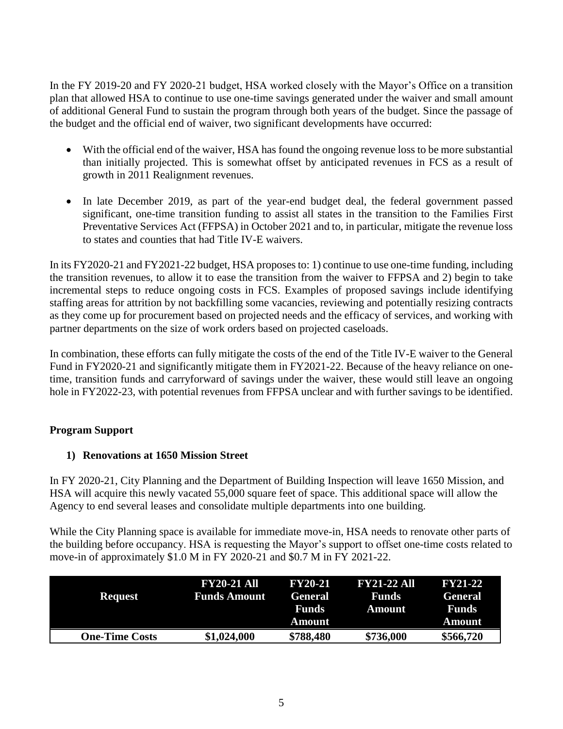In the FY 2019-20 and FY 2020-21 budget, HSA worked closely with the Mayor's Office on a transition plan that allowed HSA to continue to use one-time savings generated under the waiver and small amount of additional General Fund to sustain the program through both years of the budget. Since the passage of the budget and the official end of waiver, two significant developments have occurred:

- With the official end of the waiver, HSA has found the ongoing revenue loss to be more substantial than initially projected. This is somewhat offset by anticipated revenues in FCS as a result of growth in 2011 Realignment revenues.
- In late December 2019, as part of the year-end budget deal, the federal government passed significant, one-time transition funding to assist all states in the transition to the Families First Preventative Services Act (FFPSA) in October 2021 and to, in particular, mitigate the revenue loss to states and counties that had Title IV-E waivers.

In its FY2020-21 and FY2021-22 budget, HSA proposes to: 1) continue to use one-time funding, including the transition revenues, to allow it to ease the transition from the waiver to FFPSA and 2) begin to take incremental steps to reduce ongoing costs in FCS. Examples of proposed savings include identifying staffing areas for attrition by not backfilling some vacancies, reviewing and potentially resizing contracts as they come up for procurement based on projected needs and the efficacy of services, and working with partner departments on the size of work orders based on projected caseloads.

In combination, these efforts can fully mitigate the costs of the end of the Title IV-E waiver to the General Fund in FY2020-21 and significantly mitigate them in FY2021-22. Because of the heavy reliance on onetime, transition funds and carryforward of savings under the waiver, these would still leave an ongoing hole in FY2022-23, with potential revenues from FFPSA unclear and with further savings to be identified.

# **Program Support**

# **1) Renovations at 1650 Mission Street**

In FY 2020-21, City Planning and the Department of Building Inspection will leave 1650 Mission, and HSA will acquire this newly vacated 55,000 square feet of space. This additional space will allow the Agency to end several leases and consolidate multiple departments into one building.

While the City Planning space is available for immediate move-in, HSA needs to renovate other parts of the building before occupancy. HSA is requesting the Mayor's support to offset one-time costs related to move-in of approximately \$1.0 M in FY 2020-21 and \$0.7 M in FY 2021-22.

| <b>Request</b>        | <b>FY20-21 All</b><br><b>Funds Amount</b> | <b>FY20-21</b><br><b>General</b><br>Funds<br>Amount | <b>FY21-22 All</b><br><b>Funds</b><br>Amount | <b>FY21-22</b><br><b>General</b><br>Funds<br>Amount |
|-----------------------|-------------------------------------------|-----------------------------------------------------|----------------------------------------------|-----------------------------------------------------|
| <b>One-Time Costs</b> | \$1,024,000                               | \$788,480                                           | \$736,000                                    | \$566,720                                           |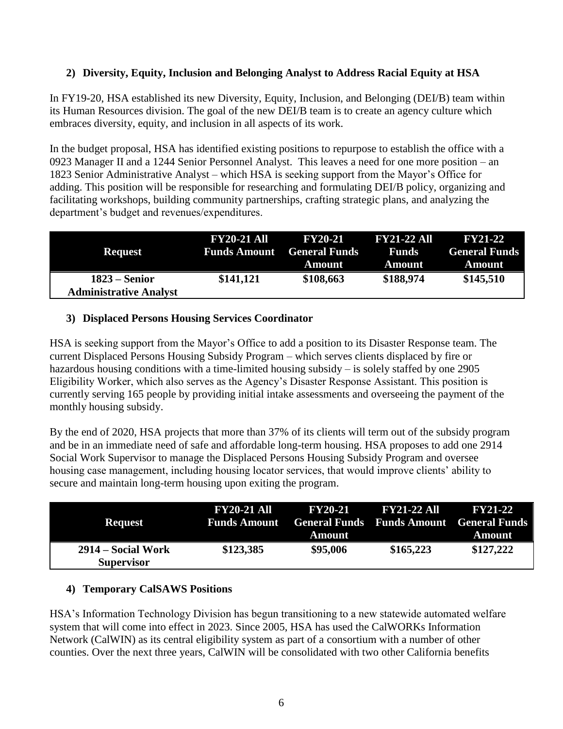# **2) Diversity, Equity, Inclusion and Belonging Analyst to Address Racial Equity at HSA**

In FY19-20, HSA established its new Diversity, Equity, Inclusion, and Belonging (DEI/B) team within its Human Resources division. The goal of the new DEI/B team is to create an agency culture which embraces diversity, equity, and inclusion in all aspects of its work.

In the budget proposal, HSA has identified existing positions to repurpose to establish the office with a 0923 Manager II and a 1244 Senior Personnel Analyst. This leaves a need for one more position – an 1823 Senior Administrative Analyst – which HSA is seeking support from the Mayor's Office for adding. This position will be responsible for researching and formulating DEI/B policy, organizing and facilitating workshops, building community partnerships, crafting strategic plans, and analyzing the department's budget and revenues/expenditures.

| <b>Request</b>                                   | <b>FY20-21 All</b> | <b>FY20-21</b><br><b>Funds Amount</b> General Funds<br>Amount | <b>FY21-22 All</b><br><b>Funds</b><br>Amount | <b>FY21-22</b><br><b>General Funds</b><br>Amount |
|--------------------------------------------------|--------------------|---------------------------------------------------------------|----------------------------------------------|--------------------------------------------------|
| $1823 -$ Senior<br><b>Administrative Analyst</b> | \$141,121          | \$108,663                                                     | \$188,974                                    | \$145,510                                        |

# **3) Displaced Persons Housing Services Coordinator**

HSA is seeking support from the Mayor's Office to add a position to its Disaster Response team. The current Displaced Persons Housing Subsidy Program – which serves clients displaced by fire or hazardous housing conditions with a time-limited housing subsidy – is solely staffed by one 2905 Eligibility Worker, which also serves as the Agency's Disaster Response Assistant. This position is currently serving 165 people by providing initial intake assessments and overseeing the payment of the monthly housing subsidy.

By the end of 2020, HSA projects that more than 37% of its clients will term out of the subsidy program and be in an immediate need of safe and affordable long-term housing. HSA proposes to add one 2914 Social Work Supervisor to manage the Displaced Persons Housing Subsidy Program and oversee housing case management, including housing locator services, that would improve clients' ability to secure and maintain long-term housing upon exiting the program.

| <b>Request</b>                          | <b>FY20-21 All</b> | <b>FY20-21</b><br>Funds Amount General Funds Funds Amount General Funds<br>Amount | <b>FY21-22 All</b> | <b>FY21-22</b><br>Amount |
|-----------------------------------------|--------------------|-----------------------------------------------------------------------------------|--------------------|--------------------------|
| 2914 – Social Work<br><b>Supervisor</b> | \$123,385          | \$95,006                                                                          | \$165,223          | \$127,222                |

# **4) Temporary CalSAWS Positions**

HSA's Information Technology Division has begun transitioning to a new statewide automated welfare system that will come into effect in 2023. Since 2005, HSA has used the CalWORKs Information Network (CalWIN) as its central eligibility system as part of a consortium with a number of other counties. Over the next three years, CalWIN will be consolidated with two other California benefits